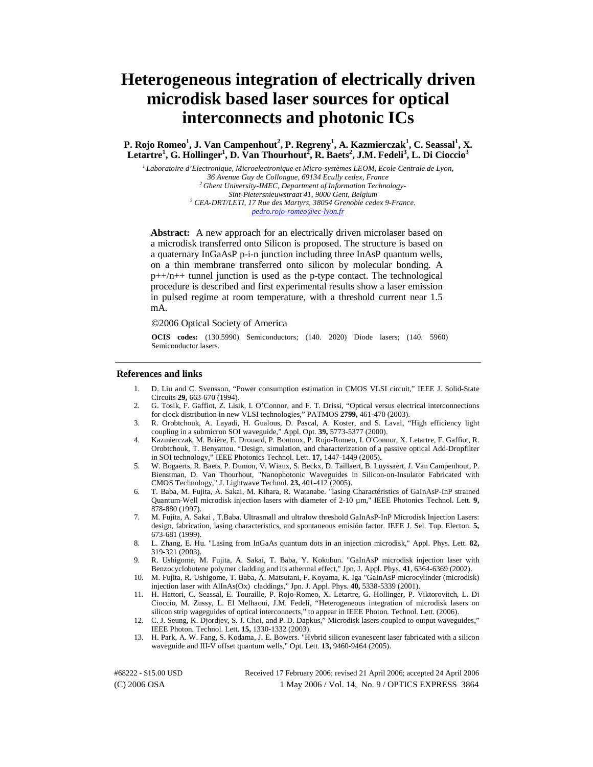# **Heterogeneous integration of electrically driven microdisk based laser sources for optical interconnects and photonic ICs**

**P. Rojo Romeo<sup>1</sup>, J. Van Campenhout<sup>2</sup>, P. Regreny<sup>1</sup>, A. Kazmierczak<sup>1</sup>, C. Seassal<sup>1</sup>, X. Letartre<sup>1</sup> , G. Hollinger<sup>1</sup> , D. Van Thourhout<sup>2</sup> , R. Baets<sup>2</sup> , J.M. Fedeli<sup>3</sup> , L. Di Cioccio<sup>3</sup>**

*1 Laboratoire d'Electronique, Microelectronique et Micro-systèmes LEOM, Ecole Centrale de Lyon,*  <sup>2</sup> Ghent University-IMEC, Department of Information Technology-<br>Sint-Pietersnieuwstraat 41, 9000 Gent, Belgium *Sint-Pietersnieuwstraat 41, 9000 Gent, Belgium 3 CEA-DRT/LETI, 17 Rue des Martyrs, 38054 Grenoble cedex 9-France. [pedro.rojo-romeo@ec-lyon.fr](mailto:pedro.rojo-romeo@ec-lyon.fr)*

Abstract: A new approach for an electrically driven microlaser based on a microdisk transferred onto Silicon is proposed. The structure is based on a quaternary InGaAsP p-i-n junction including three InAsP quantum wells, on a thin membrane transferred onto silicon by molecular bonding. A  $p++/n++$  tunnel junction is used as the p-type contact. The technological procedure is described and first experimental results show a laser emission in pulsed regime at room temperature, with a threshold current near 1.5 mA.

©2006 Optical Society of America

**OCIS codes:** (130.5990) Semiconductors; (140. 2020) Diode lasers; (140. 5960) Semiconductor lasers.

## **References and links**

- 1. D. Liu and C. Svensson, "Power consumption estimation in CMOS VLSI circuit," IEEE J. Solid-State Circuits **29,** 663-670 (1994).
- 2. G. Tosik, F. Gaffiot, Z. Lisik, I. O'Connor, and F. T. Drissi, "Optical versus electrical interconnections for clock distribution in new VLSI technologies," PATMOS **2799,** 461-470 (2003).
- 3. R. Orobtchouk, A. Layadi, H. Gualous, D. Pascal, A. Koster, and S. Laval, "High efficiency light coupling in a submicron SOI waveguide," Appl. Opt. **39,** 5773-5377 (2000).
- 4. Kazmierczak, M. Brière, E. Drouard, P. Bontoux, P. Rojo-Romeo, I. O'Connor, X. Letartre, F. Gaffiot, R. Orobtchouk, T. Benyattou. "Design, simulation, and characterization of a passive optical Add-Dropfilter in SOI technology," IEEE Photonics Technol. Lett. **17,** 1447-1449 (2005).
- 5. W. Bogaerts, R. Baets, P. Dumon, V. Wiaux, S. Beckx, D. Taillaert, B. Luyssaert, J. Van Campenhout, P. Bienstman, D. Van Thourhout, "Nanophotonic Waveguides in Silicon-on-Insulator Fabricated with CMOS Technology," J. Lightwave Technol. **23,** 401-412 (2005).
- 6. T. Baba, M. Fujita, A. Sakai, M. Kihara, R. Watanabe. "lasing Charactéristics of GaInAsP-InP strained Quantum-Well microdisk injection lasers with diameter of 2-10 µm," IEEE Photonics Technol. Lett. **9,** 878-880 (1997).
- 7. M. Fujita, A. Sakai , T.Baba. Ultrasmall and ultralow threshold GaInAsP-InP Microdisk Injection Lasers: design, fabrication, lasing characteristics, and spontaneous emisión factor. IEEE J. Sel. Top. Electon. **5,** 673-681 (1999).
- 8. L. Zhang, E. Hu. "Lasing from InGaAs quantum dots in an injection microdisk," Appl. Phys. Lett. **82,** 319-321 (2003).
- 9. R. Ushigome, M. Fujita, A. Sakai, T. Baba, Y. Kokubun. "GaInAsP microdisk injection laser with Benzocyclobutene polymer cladding and its athermal effect," Jpn. J. Appl. Phys. **41**, 6364-6369 (2002).
- 10. M. Fujita, R. Ushigome, T. Baba, A. Matsutani, F. Koyama, K. Iga "GaInAsP microcylinder (microdisk) injection laser with AlInAs(Ox) claddings," Jpn. J. Appl. Phys. **40,** 5338-5339 (2001).
- 11. H. Hattori, C. Seassal, E. Touraille, P. Rojo-Romeo, X. Letartre, G. Hollinger, P. Viktorovitch, L. Di Cioccio, M. Zussy, L. El Melhaoui, J.M. Fedeli, "Heterogeneous integration of microdisk lasers on silicon strip wageguides of optical interconnects," to appear in IEEE Photon. Technol. Lett. (2006).
- 12. C. J. Seung, K. Djordjev, S. J. Choi, and P. D. Dapkus," Microdisk lasers coupled to output waveguides," IEEE Photon. Technol. Lett. **15,** 1330-1332 (2003).
- 13. H. Park, A. W. Fang, S. Kodama, J. E. Bowers. "Hybrid silicon evanescent laser fabricated with a silicon waveguide and III-V offset quantum wells," Opt. Lett. **13,** 9460-9464 (2005).

(C) 2006 OSA 1 May 2006 / Vol. 14, No. 9 / OPTICS EXPRESS 3864 #68222 - \$15.00 USD Received 17 February 2006; revised 21 April 2006; accepted 24 April 2006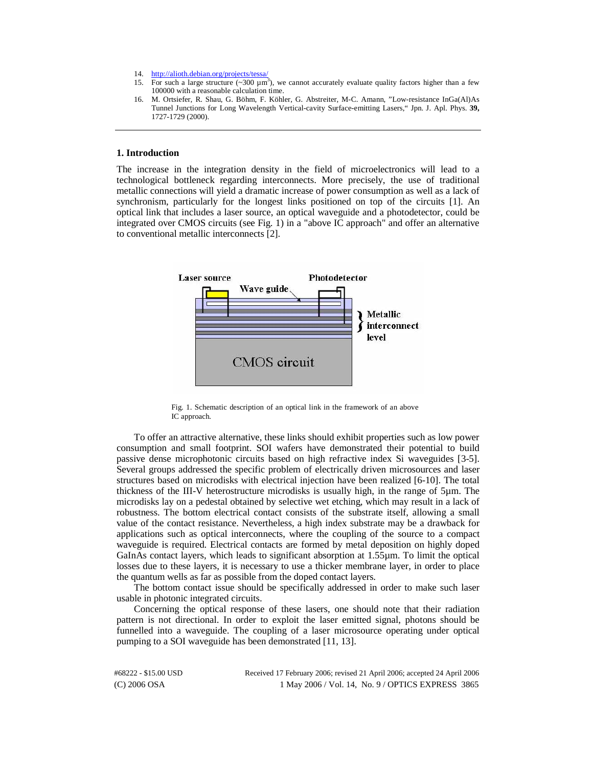- 14. <http://alioth.debian.org/projects/tessa/>
- 15. For such a large structure  $(\sim 300 \mu \text{m}^3)$ , we cannot accurately evaluate quality factors higher than a few 100000 with a reasonable calculation time.
- 16. M. Ortsiefer, R. Shau, G. Böhm, F. Köhler, G. Abstreiter, M-C. Amann, "Low-resistance InGa(Al)As Tunnel Junctions for Long Wavelength Vertical-cavity Surface-emitting Lasers," Jpn. J. Apl. Phys. **39,** 1727-1729 (2000).

## **1. Introduction**

The increase in the integration density in the field of microelectronics will lead to a technological bottleneck regarding interconnects. More precisely, the use of traditional metallic connections will yield a dramatic increase of power consumption as well as a lack of synchronism, particularly for the longest links positioned on top of the circuits [1]. An optical link that includes a laser source, an optical waveguide and a photodetector, could be integrated over CMOS circuits (see Fig. 1) in a "above IC approach" and offer an alternative to conventional metallic interconnects [2].



Fig. 1. Schematic description of an optical link in the framework of an above IC approach.

To offer an attractive alternative, these links should exhibit properties such as low power consumption and small footprint. SOI wafers have demonstrated their potential to build passive dense microphotonic circuits based on high refractive index Si waveguides [3-5]. Several groups addressed the specific problem of electrically driven microsources and laser structures based on microdisks with electrical injection have been realized [6-10]. The total thickness of the III-V heterostructure microdisks is usually high, in the range of 5µm. The microdisks lay on a pedestal obtained by selective wet etching, which may result in a lack of robustness. The bottom electrical contact consists of the substrate itself, allowing a small value of the contact resistance. Nevertheless, a high index substrate may be a drawback for applications such as optical interconnects, where the coupling of the source to a compact waveguide is required. Electrical contacts are formed by metal deposition on highly doped GaInAs contact layers, which leads to significant absorption at 1.55µm. To limit the optical losses due to these layers, it is necessary to use a thicker membrane layer, in order to place the quantum wells as far as possible from the doped contact layers.

The bottom contact issue should be specifically addressed in order to make such laser usable in photonic integrated circuits.

Concerning the optical response of these lasers, one should note that their radiation pattern is not directional. In order to exploit the laser emitted signal, photons should be funnelled into a waveguide. The coupling of a laser microsource operating under optical pumping to a SOI waveguide has been demonstrated [11, 13].

| #68222 - \$15.00 USD | Received 17 February 2006; revised 21 April 2006; accepted 24 April 2006 |
|----------------------|--------------------------------------------------------------------------|
| $(C) 2006$ OSA       | 1 May 2006 / Vol. 14, No. 9 / OPTICS EXPRESS 3865                        |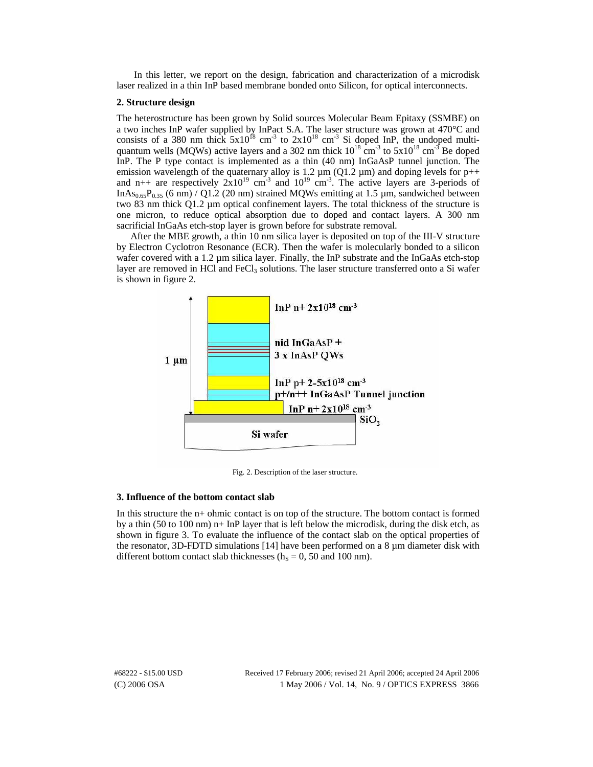In this letter, we report on the design, fabrication and characterization of a microdisk laser realized in a thin InP based membrane bonded onto Silicon, for optical interconnects.

## **2. Structure design**

The heterostructure has been grown by Solid sources Molecular Beam Epitaxy (SSMBE) on a two inches InP wafer supplied by InPact S.A. The laser structure was grown at 470°C and consists of a 380 nm thick  $5x10^{18}$  cm<sup>-3</sup> to  $2x10^{18}$  cm<sup>-3</sup> Si doped InP, the undoped multiquantum wells (MQWs) active layers and a 302 nm thick  $10^{18}$  cm<sup>-3</sup> to  $5x10^{18}$  cm<sup>-3</sup> Be doped InP. The P type contact is implemented as a thin (40 nm) InGaAsP tunnel junction. The emission wavelength of the quaternary alloy is 1.2  $\mu$ m (Q1.2  $\mu$ m) and doping levels for p++ and n++ are respectively  $2x10^{19}$  cm<sup>-3</sup> and  $10^{19}$  cm<sup>-3</sup>. The active layers are 3-periods of InAs<sub>0.65</sub>P<sub>0.35</sub> (6 nm) / Q1.2 (20 nm) strained MQWs emitting at 1.5  $\mu$ m, sandwiched between two 83 nm thick Q1.2 µm optical confinement layers. The total thickness of the structure is one micron, to reduce optical absorption due to doped and contact layers. A 300 nm sacrificial InGaAs etch-stop layer is grown before for substrate removal.

After the MBE growth, a thin 10 nm silica layer is deposited on top of the III-V structure by Electron Cyclotron Resonance (ECR). Then the wafer is molecularly bonded to a silicon wafer covered with a 1.2 µm silica layer. Finally, the InP substrate and the InGaAs etch-stop layer are removed in HCl and  $FeCl<sub>3</sub>$  solutions. The laser structure transferred onto a Si wafer is shown in figure 2.



Fig. 2. Description of the laser structure.

#### **3. Influence of the bottom contact slab**

In this structure the n+ ohmic contact is on top of the structure. The bottom contact is formed by a thin (50 to 100 nm)  $n+$  InP layer that is left below the microdisk, during the disk etch, as shown in figure 3. To evaluate the influence of the contact slab on the optical properties of the resonator, 3D-FDTD simulations [14] have been performed on a  $8 \mu m$  diameter disk with different bottom contact slab thicknesses ( $h<sub>S</sub> = 0$ , 50 and 100 nm).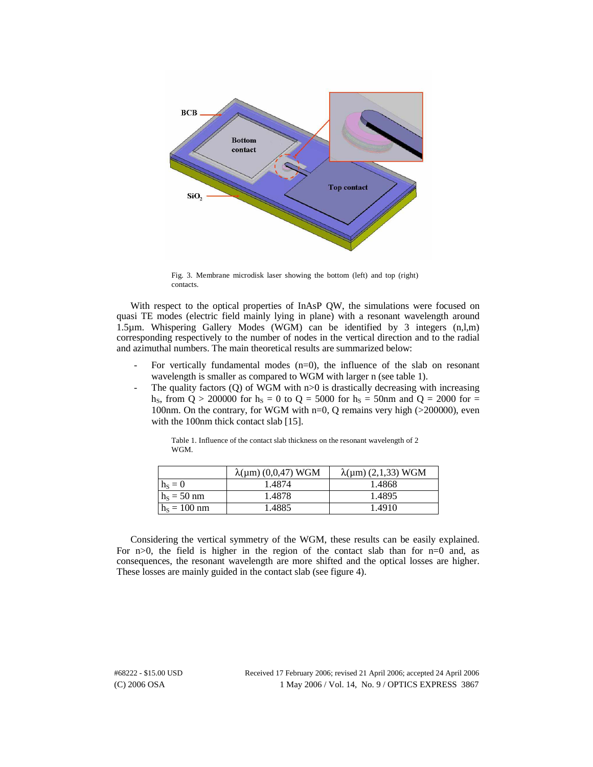

Fig. 3. Membrane microdisk laser showing the bottom (left) and top (right) contacts.

With respect to the optical properties of InAsP QW, the simulations were focused on quasi TE modes (electric field mainly lying in plane) with a resonant wavelength around 1.5µm. Whispering Gallery Modes (WGM) can be identified by 3 integers (n,l,m) corresponding respectively to the number of nodes in the vertical direction and to the radial and azimuthal numbers. The main theoretical results are summarized below:

- For vertically fundamental modes  $(n=0)$ , the influence of the slab on resonant wavelength is smaller as compared to WGM with larger n (see table 1).
- The quality factors  $(Q)$  of WGM with  $n>0$  is drastically decreasing with increasing h<sub>s</sub>, from  $\dot{Q} > 200000$  for h<sub>S</sub> = 0 to Q = 5000 for h<sub>S</sub> = 50nm and Q = 2000 for = 100nm. On the contrary, for WGM with n=0, Q remains very high (>200000), even with the 100nm thick contact slab [15].

|                | $\lambda(\mu m)$ (0,0,47) WGM | $\lambda(\mu m)$ (2,1,33) WGM |
|----------------|-------------------------------|-------------------------------|
| $h_s = 0$      | 1.4874                        | 1.4868                        |
| $h_s = 50$ nm  | 1.4878                        | 1.4895                        |
| $h_s = 100$ nm | 1.4885                        | 1.4910                        |

Table 1. Influence of the contact slab thickness on the resonant wavelength of 2 WGM.

Considering the vertical symmetry of the WGM, these results can be easily explained. For  $n>0$ , the field is higher in the region of the contact slab than for  $n=0$  and, as consequences, the resonant wavelength are more shifted and the optical losses are higher. These losses are mainly guided in the contact slab (see figure 4).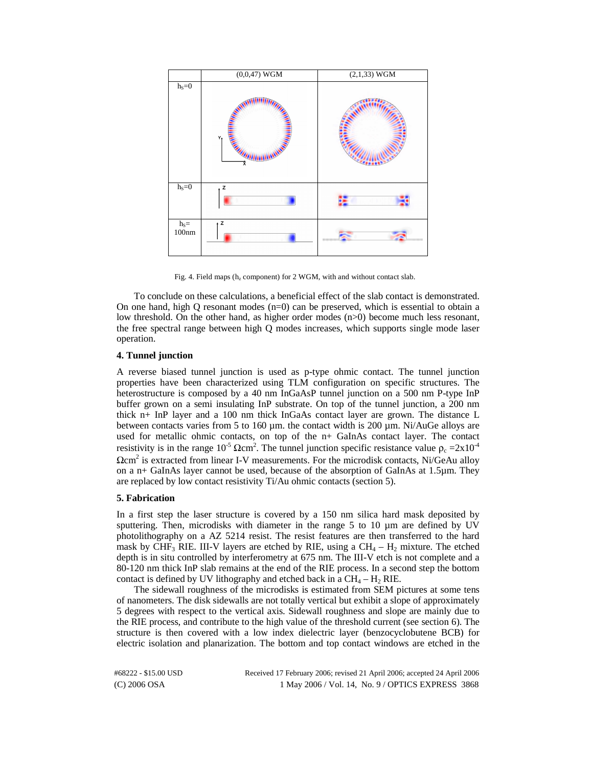

Fig. 4. Field maps ( $h_z$  component) for 2 WGM, with and without contact slab.

To conclude on these calculations, a beneficial effect of the slab contact is demonstrated. On one hand, high Q resonant modes  $(n=0)$  can be preserved, which is essential to obtain a low threshold. On the other hand, as higher order modes (n>0) become much less resonant, the free spectral range between high Q modes increases, which supports single mode laser operation.

# **4. Tunnel junction**

A reverse biased tunnel junction is used as p-type ohmic contact. The tunnel junction properties have been characterized using TLM configuration on specific structures. The heterostructure is composed by a 40 nm InGaAsP tunnel junction on a 500 nm P-type InP buffer grown on a semi insulating InP substrate. On top of the tunnel junction, a 200 nm thick n+ InP layer and a 100 nm thick InGaAs contact layer are grown. The distance L between contacts varies from 5 to 160 µm. the contact width is 200 µm. Ni/AuGe alloys are used for metallic ohmic contacts, on top of the n+ GaInAs contact layer. The contact resistivity is in the range  $10^{-5}$   $\Omega$ cm<sup>2</sup>. The tunnel junction specific resistance value  $\rho_c = 2 \times 10^{-4}$  $\Omega$ cm<sup>2</sup> is extracted from linear I-V measurements. For the microdisk contacts, Ni/GeAu alloy on a n+ GaInAs layer cannot be used, because of the absorption of GaInAs at 1.5µm. They are replaced by low contact resistivity Ti/Au ohmic contacts (section 5).

## **5. Fabrication**

In a first step the laser structure is covered by a 150 nm silica hard mask deposited by sputtering. Then, microdisks with diameter in the range  $5$  to  $10 \mu m$  are defined by UV photolithography on a AZ 5214 resist. The resist features are then transferred to the hard mask by CHF<sub>3</sub> RIE. III-V layers are etched by RIE, using a  $CH_4 - H_2$  mixture. The etched depth is in situ controlled by interferometry at 675 nm. The III-V etch is not complete and a 80-120 nm thick InP slab remains at the end of the RIE process. In a second step the bottom contact is defined by UV lithography and etched back in a  $CH_4 - H_2$  RIE.

The sidewall roughness of the microdisks is estimated from SEM pictures at some tens of nanometers. The disk sidewalls are not totally vertical but exhibit a slope of approximately 5 degrees with respect to the vertical axis. Sidewall roughness and slope are mainly due to the RIE process, and contribute to the high value of the threshold current (see section 6). The structure is then covered with a low index dielectric layer (benzocyclobutene BCB) for electric isolation and planarization. The bottom and top contact windows are etched in the

(C) 2006 OSA 1 May 2006 / Vol. 14, No. 9 / OPTICS EXPRESS 3868 #68222 - \$15.00 USD Received 17 February 2006; revised 21 April 2006; accepted 24 April 2006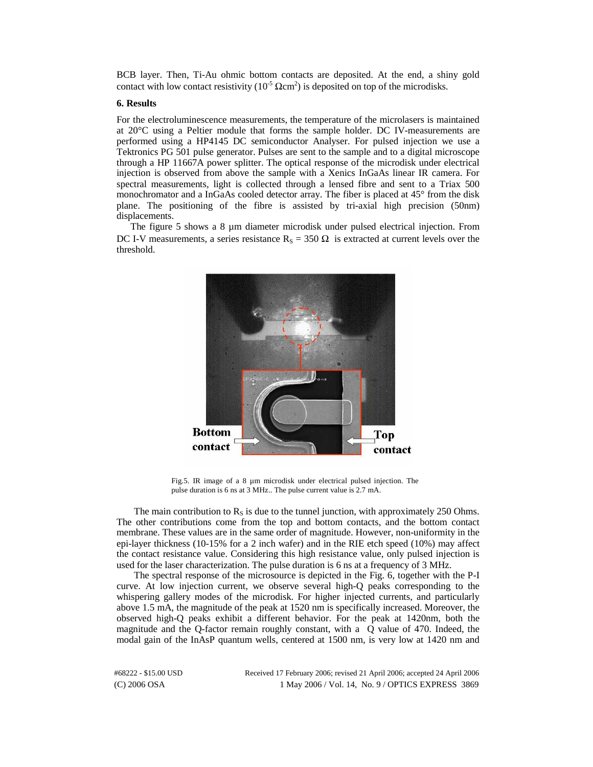BCB layer. Then, Ti-Au ohmic bottom contacts are deposited. At the end, a shiny gold contact with low contact resistivity ( $10^{-5} \Omega \text{cm}^2$ ) is deposited on top of the microdisks.

## **6. Results**

For the electroluminescence measurements, the temperature of the microlasers is maintained at 20°C using a Peltier module that forms the sample holder. DC IV-measurements are performed using a HP4145 DC semiconductor Analyser. For pulsed injection we use a Tektronics PG 501 pulse generator. Pulses are sent to the sample and to a digital microscope through a HP 11667A power splitter. The optical response of the microdisk under electrical injection is observed from above the sample with a Xenics InGaAs linear IR camera. For spectral measurements, light is collected through a lensed fibre and sent to a Triax 500 monochromator and a InGaAs cooled detector array. The fiber is placed at 45° from the disk plane. The positioning of the fibre is assisted by tri-axial high precision (50nm) displacements.

The figure 5 shows a 8 µm diameter microdisk under pulsed electrical injection. From DC I-V measurements, a series resistance  $R_s = 350 \Omega$  is extracted at current levels over the threshold.



Fig.5. IR image of a 8 µm microdisk under electrical pulsed injection. The pulse duration is 6 ns at 3 MHz.. The pulse current value is 2.7 mA.

The main contribution to  $R<sub>S</sub>$  is due to the tunnel junction, with approximately 250 Ohms. The other contributions come from the top and bottom contacts, and the bottom contact membrane. These values are in the same order of magnitude. However, non-uniformity in the epi-layer thickness (10-15% for a 2 inch wafer) and in the RIE etch speed (10%) may affect the contact resistance value. Considering this high resistance value, only pulsed injection is used for the laser characterization. The pulse duration is 6 ns at a frequency of 3 MHz.

The spectral response of the microsource is depicted in the Fig. 6, together with the P-I curve. At low injection current, we observe several high-Q peaks corresponding to the whispering gallery modes of the microdisk. For higher injected currents, and particularly above 1.5 mA, the magnitude of the peak at 1520 nm is specifically increased. Moreover, the observed high-Q peaks exhibit a different behavior. For the peak at 1420nm, both the magnitude and the Q-factor remain roughly constant, with a Q value of 470. Indeed, the modal gain of the InAsP quantum wells, centered at 1500 nm, is very low at 1420 nm and

(C) 2006 OSA 1 May 2006 / Vol. 14, No. 9 / OPTICS EXPRESS 3869 #68222 - \$15.00 USD Received 17 February 2006; revised 21 April 2006; accepted 24 April 2006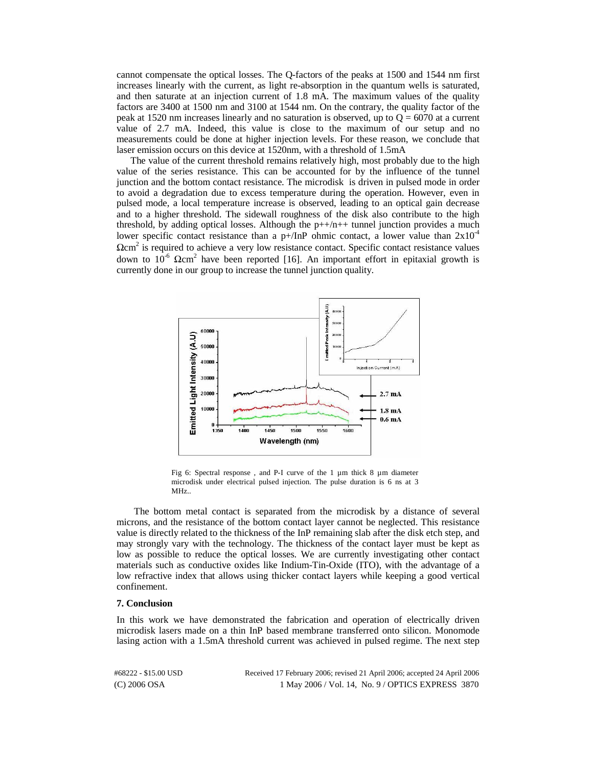cannot compensate the optical losses. The Q-factors of the peaks at 1500 and 1544 nm first increases linearly with the current, as light re-absorption in the quantum wells is saturated, and then saturate at an injection current of 1.8 mA. The maximum values of the quality factors are 3400 at 1500 nm and 3100 at 1544 nm. On the contrary, the quality factor of the peak at 1520 nm increases linearly and no saturation is observed, up to  $Q = 6070$  at a current value of 2.7 mA. Indeed, this value is close to the maximum of our setup and no measurements could be done at higher injection levels. For these reason, we conclude that laser emission occurs on this device at 1520nm, with a threshold of 1.5mA

The value of the current threshold remains relatively high, most probably due to the high value of the series resistance. This can be accounted for by the influence of the tunnel junction and the bottom contact resistance. The microdisk is driven in pulsed mode in order to avoid a degradation due to excess temperature during the operation. However, even in pulsed mode, a local temperature increase is observed, leading to an optical gain decrease and to a higher threshold. The sidewall roughness of the disk also contribute to the high threshold, by adding optical losses. Although the  $p++/n++$  tunnel junction provides a much lower specific contact resistance than a p+/InP ohmic contact, a lower value than  $2x10^{-4}$  $\Omega$ cm<sup>2</sup> is required to achieve a very low resistance contact. Specific contact resistance values down to  $10^{-6}$  Ωcm<sup>2</sup> have been reported [16]. An important effort in epitaxial growth is currently done in our group to increase the tunnel junction quality.



Fig 6: Spectral response , and P-I curve of the 1 µm thick 8 µm diameter microdisk under electrical pulsed injection. The pulse duration is 6 ns at 3 MHz..

The bottom metal contact is separated from the microdisk by a distance of several microns, and the resistance of the bottom contact layer cannot be neglected. This resistance value is directly related to the thickness of the InP remaining slab after the disk etch step, and may strongly vary with the technology. The thickness of the contact layer must be kept as low as possible to reduce the optical losses. We are currently investigating other contact materials such as conductive oxides like Indium-Tin-Oxide (ITO), with the advantage of a low refractive index that allows using thicker contact layers while keeping a good vertical confinement.

## **7. Conclusion**

In this work we have demonstrated the fabrication and operation of electrically driven microdisk lasers made on a thin InP based membrane transferred onto silicon. Monomode lasing action with a 1.5mA threshold current was achieved in pulsed regime. The next step

(C) 2006 OSA 1 May 2006 / Vol. 14, No. 9 / OPTICS EXPRESS 3870 #68222 - \$15.00 USD Received 17 February 2006; revised 21 April 2006; accepted 24 April 2006